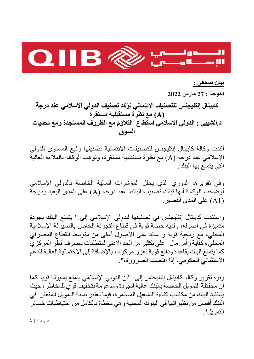

**بيان صحفي :** 

**الدوحة : 27 مارس 2022** 

**كابيتال إنتليجنس للتصنيف الائتماني تؤكد تصنيف الدولي الإسلامي عند درجة (A (مع نظرة مستقبلية مستقرة د.الشيبي : الدولي الإسلامي استطاع التلاؤم مع الظروف المستجدة ومع تحديات السوق** 

أكدت وكالة كابيتال إنتليجنس للتصنيفات الائتمانية تصنيفها رفيع المستوى للدولي الإسلامي عند درجة (A (مع نظرة مستقبلية مستقرة، ونوهت الوكالة بالملاءة العالية التي يتمتع بها البنك.

وفي تقريرها الدوري الذي يحلل المؤشرات المالية الخاصة بالدولي الإسلامي أوضحت الوكالة أنها ثبتت تصنيف البنك عند درجة (A (على المدى البعيد ودرجة (1A (على المدى القصير.

واستندت كابيتال إنتليجنس في تصنيفها للدولي الإسلامي إلى:" يتمتع البنك بجودة متميزة في أصوله، ولديه حصة قوية في قطاع التجزئة الخاص بالصيرفة الإسلامية المحلي، مع ربحية قوية و عائد على الأصول أعلى من متوسط القطاع المصرفي المحلي وكفاية رأس مال أعلى بكثير من الحد الأدنى لمتطلبات مصرف قطر المركزي كما يتمتع البنك بقاعدة ودائع قوية تعزز مركزه ، بالإضافة إلى الاحتمالية العالية للدعم الاستثنائي الحكومي، إذا اقتضت الضرورة،".

ونوه تقرير وكالة كابيتال إنتليجنس إلى: "أن الدولي الإسلامي يتمتع بسيولة قوية كما أن محفظة التمويل الخاصة بالبنك عالية الجودة ومدعومة بتخفيف قوي للمخاطر، حيث يستفيد البنك من مكاسب كفاءة التشغيل المستمرة، فيما تعتبر نسبة التمويل المتعثر في البنك أفضل من نظيراتها في البنوك المحلية وهي مغطاة بالكامل من احتياطيات خسائر التمويل".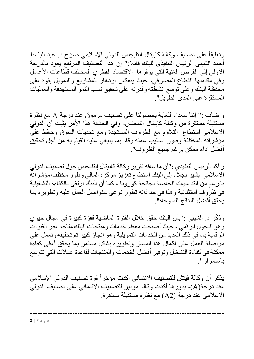وتعليقاً على تصنيف وكالـة كابيتال إنتليجنس للدولي الإسلامي صرّح د. عبد الباسط أحمد الشيبي الرئيس التنفيذي للبنك قائلا:" إن هذا التصنيف المرتفع يعود بالدرجة الأولى إلى الفرص الغنية التي يوفرها الاقتصاد القطري لمختلف قطاعات الأعمال وفي مقدمتها القطاع المصرفي، حيث ينعكس ازدهار المشاريع والتمويل بقوة على محفظة البنك وعلى توسع انشطته وقدرته على تحقيق نسب النمو المستهدفة والعمليات المستقرة على المدى الطويل".

وأضاف :" إننا سعداء للغاية بحصولنا على تصنيف مرموق عند درجة A مع نظرة مستقبلة مستقرة من وكالة كابيتال انتلجنس، وفي الحقيقة هذا الأمر يثبت أن الدولي الإسلامي استطاع التلاؤم مع الظروف المستجدة ومع تحديات السوق وحافظ على مؤشراته المختلفة وطور أساليب عمله وقام بما ينبغي عليه القيام به من أجل تحقيق أفضل أداء ممكن برغم جميع الظروف".

و أكد الرئيس التنفيذي :"أن ما ساقه تقرير وكالة كابيتال إنتليجنس حول تصنيف الدولي الإسلامي يشير بجلاء إلى البنك استطاع تعزيز مركزه المالي وطور مختلف مؤشراته بالرغم من التداعيات الخاصة بجائحة كورونا ، كما أن البنك ارتقى بالكفاءة التشغيلية في ظروف استثنائية وهذا في حد ذاته تطور نوعي سنواصل العمل عليه وتطويره بما يحقق أفضل النتائج المتوخاة".

ّ وذكر د. الشيبي :"بأن البنك حقق خلال الفترة الماضية قفزة كبيرة في مجال حيوي وهو التحول الرقمي ، حيث أصبحت معظم خدمات ومنتجات البنك متاحة عبر القنوات الرقمية بما في ذلك العديد من الخدمات التمويلية وهو إنجاز كبير تم تحقيقه ونعمل على مواصلة العمل على إكمال هذا المسار وتطويره بشكل مستمر بما يحقق أعلى كفاءة ممكنة في كفاءة التشغيل وتوفير أفضل الخدمات والمنتجات لقاعدة عملائنا التي تتوسع باستمرار".

يذكر أن وكالة فيتش للتصنيف الائتماني أكدت مؤخراً قوة تصنيف الدولي الإسلامي عند درجة(A(، بدورها أكدت وكالة موديز للتصنيف الائتماني على تصنيف الدولي الإسلامي عند درجة (2A (مع نظرة مستقبلة مستقرة.

------------------------------------------------------------------------------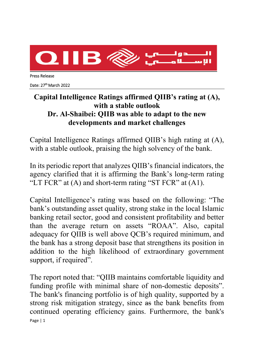

Press Release

Date: 27<sup>th</sup> March 2022

## **Capital Intelligence Ratings affirmed QIIB's rating at (A), with a stable outlook Dr. Al-Shaibei: QIIB was able to adapt to the new developments and market challenges**

Capital Intelligence Ratings affirmed QIIB's high rating at (A), with a stable outlook, praising the high solvency of the bank.

In its periodic report that analyzes QIIB's financial indicators, the agency clarified that it is affirming the Bank's long-term rating "LT FCR" at (A) and short-term rating "ST FCR" at (A1).

Capital Intelligence's rating was based on the following: "The bank's outstanding asset quality, strong stake in the local Islamic banking retail sector, good and consistent profitability and better than the average return on assets "ROAA". Also, capital adequacy for QIIB is well above QCB's required minimum, and the bank has a strong deposit base that strengthens its position in addition to the high likelihood of extraordinary government support, if required".

Page | 1 The report noted that: "QIIB maintains comfortable liquidity and funding profile with minimal share of non-domestic deposits". The bank's financing portfolio is of high quality, supported by a strong risk mitigation strategy, since as the bank benefits from continued operating efficiency gains. Furthermore, the bank's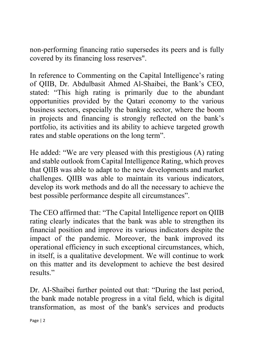non-performing financing ratio supersedes its peers and is fully covered by its financing loss reserves".

In reference to Commenting on the Capital Intelligence's rating of QIIB, Dr. Abdulbasit Ahmed Al-Shaibei, the Bank's CEO, stated: "This high rating is primarily due to the abundant opportunities provided by the Qatari economy to the various business sectors, especially the banking sector, where the boom in projects and financing is strongly reflected on the bank's portfolio, its activities and its ability to achieve targeted growth rates and stable operations on the long term".

He added: "We are very pleased with this prestigious (A) rating and stable outlook from Capital Intelligence Rating, which proves that QIIB was able to adapt to the new developments and market challenges. QIIB was able to maintain its various indicators, develop its work methods and do all the necessary to achieve the best possible performance despite all circumstances".

The CEO affirmed that: "The Capital Intelligence report on QIIB rating clearly indicates that the bank was able to strengthen its financial position and improve its various indicators despite the impact of the pandemic. Moreover, the bank improved its operational efficiency in such exceptional circumstances, which, in itself, is a qualitative development. We will continue to work on this matter and its development to achieve the best desired results."

Dr. Al-Shaibei further pointed out that: "During the last period, the bank made notable progress in a vital field, which is digital transformation, as most of the bank's services and products

Page | 2